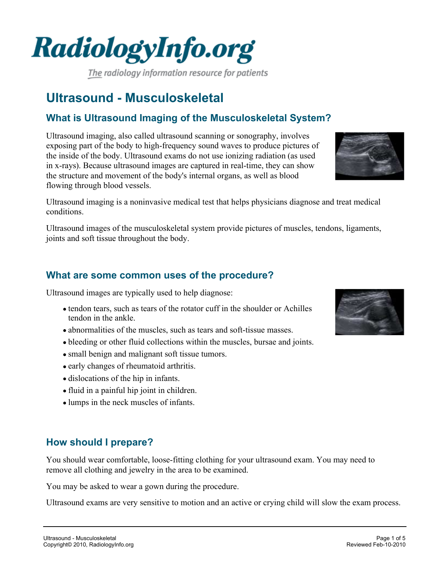



**How should I prepare?**

You should wear comfortable, loose-fitting clothing for your ultrasound exam. You may need to remove all clothing and jewelry in the area to be examined.

You may be asked to wear a gown during the procedure.

Ultrasound exams are very sensitive to motion and an active or crying child will slow the exam process.

Ultrasound images are typically used to help diagnose:

- tendon tears, such as tears of the rotator cuff in the shoulder or Achilles tendon in the ankle.
- abnormalities of the muscles, such as tears and soft-tissue masses.
- bleeding or other fluid collections within the muscles, bursae and joints.
- small benign and malignant soft tissue tumors.
- early changes of rheumatoid arthritis.
- dislocations of the hip in infants.
- fluid in a painful hip joint in children.
- lumps in the neck muscles of infants.

**What are some common uses of the procedure?**

Ultrasound imaging is a noninvasive medical test that helps physicians diagnose and treat medical conditions.

Ultrasound images of the musculoskeletal system provide pictures of muscles, tendons, ligaments,

joints and soft tissue throughout the body.

# **Ultrasound - Musculoskeletal**

flowing through blood vessels.

# **What is Ultrasound Imaging of the Musculoskeletal System?**

Ultrasound imaging, also called ultrasound scanning or sonography, involves exposing part of the body to high-frequency sound waves to produce pictures of the inside of the body. Ultrasound exams do not use ionizing radiation (as used in x-rays). Because ultrasound images are captured in real-time, they can show the structure and movement of the body's internal organs, as well as blood

The radiology information resource for patients





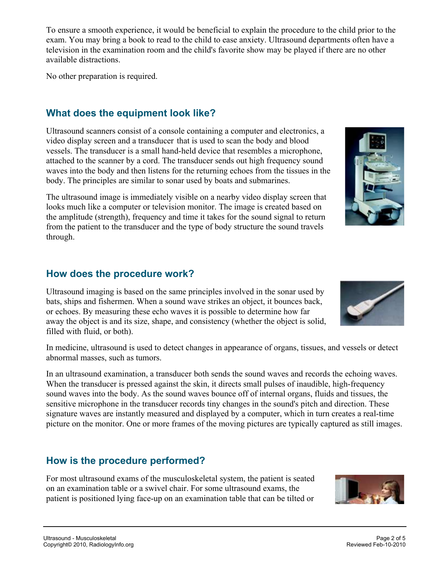To ensure a smooth experience, it would be beneficial to explain the procedure to the child prior to the exam. You may bring a book to read to the child to ease anxiety. Ultrasound departments often have a television in the examination room and the child's favorite show may be played if there are no other available distractions.

No other preparation is required.

### **What does the equipment look like?**

Ultrasound scanners consist of a console containing a computer and electronics, a video display screen and a transducer that is used to scan the body and blood vessels. The transducer is a small hand-held device that resembles a microphone, attached to the scanner by a cord. The transducer sends out high frequency sound waves into the body and then listens for the returning echoes from the tissues in the body. The principles are similar to sonar used by boats and submarines.

The ultrasound image is immediately visible on a nearby video display screen that looks much like a computer or television monitor. The image is created based on the amplitude (strength), frequency and time it takes for the sound signal to return from the patient to the transducer and the type of body structure the sound travels through.

#### **How does the procedure work?**

Ultrasound imaging is based on the same principles involved in the sonar used by bats, ships and fishermen. When a sound wave strikes an object, it bounces back, or echoes. By measuring these echo waves it is possible to determine how far away the object is and its size, shape, and consistency (whether the object is solid, filled with fluid, or both).

In medicine, ultrasound is used to detect changes in appearance of organs, tissues, and vessels or detect abnormal masses, such as tumors.

In an ultrasound examination, a transducer both sends the sound waves and records the echoing waves. When the transducer is pressed against the skin, it directs small pulses of inaudible, high-frequency sound waves into the body. As the sound waves bounce off of internal organs, fluids and tissues, the sensitive microphone in the transducer records tiny changes in the sound's pitch and direction. These signature waves are instantly measured and displayed by a computer, which in turn creates a real-time picture on the monitor. One or more frames of the moving pictures are typically captured as still images.

### **How is the procedure performed?**

For most ultrasound exams of the musculoskeletal system, the patient is seated on an examination table or a swivel chair. For some ultrasound exams, the patient is positioned lying face-up on an examination table that can be tilted or





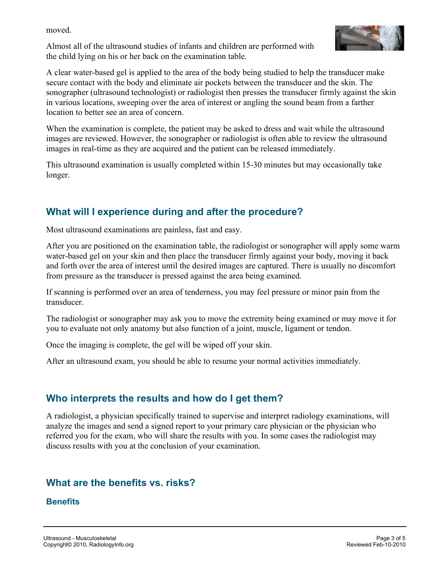moved.

Almost all of the ultrasound studies of infants and children are performed with the child lying on his or her back on the examination table.



A clear water-based gel is applied to the area of the body being studied to help the transducer make secure contact with the body and eliminate air pockets between the transducer and the skin. The sonographer (ultrasound technologist) or radiologist then presses the transducer firmly against the skin in various locations, sweeping over the area of interest or angling the sound beam from a farther location to better see an area of concern.

When the examination is complete, the patient may be asked to dress and wait while the ultrasound images are reviewed. However, the sonographer or radiologist is often able to review the ultrasound images in real-time as they are acquired and the patient can be released immediately.

This ultrasound examination is usually completed within 15-30 minutes but may occasionally take longer.

### **What will I experience during and after the procedure?**

Most ultrasound examinations are painless, fast and easy.

After you are positioned on the examination table, the radiologist or sonographer will apply some warm water-based gel on your skin and then place the transducer firmly against your body, moving it back and forth over the area of interest until the desired images are captured. There is usually no discomfort from pressure as the transducer is pressed against the area being examined.

If scanning is performed over an area of tenderness, you may feel pressure or minor pain from the transducer.

The radiologist or sonographer may ask you to move the extremity being examined or may move it for you to evaluate not only anatomy but also function of a joint, muscle, ligament or tendon.

Once the imaging is complete, the gel will be wiped off your skin.

After an ultrasound exam, you should be able to resume your normal activities immediately.

# **Who interprets the results and how do I get them?**

A radiologist, a physician specifically trained to supervise and interpret radiology examinations, will analyze the images and send a signed report to your primary care physician or the physician who referred you for the exam, who will share the results with you. In some cases the radiologist may discuss results with you at the conclusion of your examination.

# **What are the benefits vs. risks?**

**Benefits**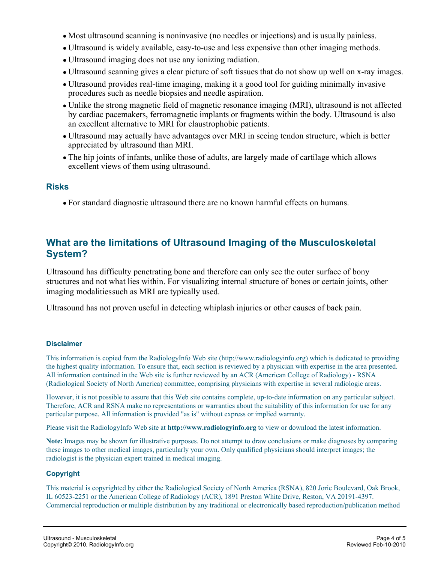- Most ultrasound scanning is noninvasive (no needles or injections) and is usually painless.
- Ultrasound is widely available, easy-to-use and less expensive than other imaging methods.
- Ultrasound imaging does not use any ionizing radiation.
- Ultrasound scanning gives a clear picture of soft tissues that do not show up well on x-ray images.
- Ultrasound provides real-time imaging, making it a good tool for guiding minimally invasive procedures such as needle biopsies and needle aspiration.
- Unlike the strong magnetic field of magnetic resonance imaging (MRI), ultrasound is not affected by cardiac pacemakers, ferromagnetic implants or fragments within the body. Ultrasound is also an excellent alternative to MRI for claustrophobic patients.
- Ultrasound may actually have advantages over MRI in seeing tendon structure, which is better appreciated by ultrasound than MRI.
- The hip joints of infants, unlike those of adults, are largely made of cartilage which allows excellent views of them using ultrasound.

#### **Risks**

For standard diagnostic ultrasound there are no known harmful effects on humans.

#### **What are the limitations of Ultrasound Imaging of the Musculoskeletal System?**

Ultrasound has difficulty penetrating bone and therefore can only see the outer surface of bony structures and not what lies within. For visualizing internal structure of bones or certain joints, other imaging modalities such as MRI are typically used.

Ultrasound has not proven useful in detecting whiplash injuries or other causes of back pain.

#### **Disclaimer**

This information is copied from the RadiologyInfo Web site (http://www.radiologyinfo.org) which is dedicated to providing the highest quality information. To ensure that, each section is reviewed by a physician with expertise in the area presented. All information contained in the Web site is further reviewed by an ACR (American College of Radiology) - RSNA (Radiological Society of North America) committee, comprising physicians with expertise in several radiologic areas.

However, it is not possible to assure that this Web site contains complete, up-to-date information on any particular subject. Therefore, ACR and RSNA make no representations or warranties about the suitability of this information for use for any particular purpose. All information is provided "as is" without express or implied warranty.

Please visit the RadiologyInfo Web site at **http://www.radiologyinfo.org** to view or download the latest information.

**Note:** Images may be shown for illustrative purposes. Do not attempt to draw conclusions or make diagnoses by comparing these images to other medical images, particularly your own. Only qualified physicians should interpret images; the radiologist is the physician expert trained in medical imaging.

#### **Copyright**

This material is copyrighted by either the Radiological Society of North America (RSNA), 820 Jorie Boulevard, Oak Brook, IL 60523-2251 or the American College of Radiology (ACR), 1891 Preston White Drive, Reston, VA 20191-4397. Commercial reproduction or multiple distribution by any traditional or electronically based reproduction/publication method